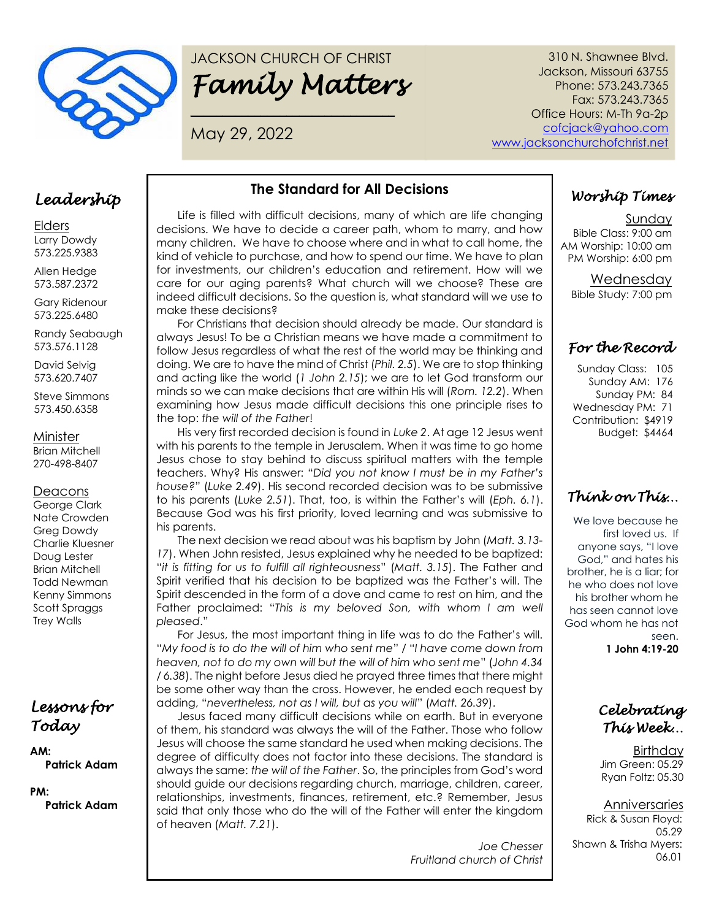

# JACKSON CHURCH OF CHRIST *Family Matters*

**\_\_\_\_\_\_\_\_\_\_\_\_\_\_\_\_\_\_\_\_\_\_\_\_\_\_\_\_\_\_\_\_**

May 29, 2022

310 N. Shawnee Blvd. Jackson, Missouri 63755 Phone: 573.243.7365 Fax: 573.243.7365 Office Hours: M-Th 9a-2p [cofcjack@yahoo.com](mailto:cofcjack@yahoo.com) [www.jacksonchurchofchrist.net](http://www.jacksonchurchofchrist.net/)

#### *Leadership*

Elders Larry Dowdy 573.225.9383

Allen Hedge 573.587.2372

Gary Ridenour 573.225.6480

Randy Seabaugh 573.576.1128

David Selvig 573.620.7407

Steve Simmons 573.450.6358

Minister

Brian Mitchell 270-498-8407

#### **Deacons**

George Clark Nate Crowden Greg Dowdy Charlie Kluesner Doug Lester Brian Mitchell Todd Newman Kenny Simmons Scott Spraggs Trey Walls

#### *Lessons for Today*

**AM: Patrick Adam**

**PM: Patrick Adam**

#### **The Standard for All Decisions**

Life is filled with difficult decisions, many of which are life changing decisions. We have to decide a career path, whom to marry, and how many children. We have to choose where and in what to call home, the kind of vehicle to purchase, and how to spend our time. We have to plan for investments, our children's education and retirement. How will we care for our aging parents? What church will we choose? These are indeed difficult decisions. So the question is, what standard will we use to make these decisions?

For Christians that decision should already be made. Our standard is always Jesus! To be a Christian means we have made a commitment to follow Jesus regardless of what the rest of the world may be thinking and doing. We are to have the mind of Christ (*Phil. 2.5*). We are to stop thinking and acting like the world (*1 John 2.15*); we are to let God transform our minds so we can make decisions that are within His will (*Rom. 12.2*). When examining how Jesus made difficult decisions this one principle rises to the top: *the will of the Father*!

His very first recorded decision is found in *Luke 2*. At age 12 Jesus went with his parents to the temple in Jerusalem. When it was time to go home Jesus chose to stay behind to discuss spiritual matters with the temple teachers. Why? His answer: "*Did you not know I must be in my Father's house?*" (*Luke 2.49*). His second recorded decision was to be submissive to his parents (*Luke 2.51*). That, too, is within the Father's will (*Eph. 6.1*). Because God was his first priority, loved learning and was submissive to his parents.

The next decision we read about was his baptism by John (*Matt. 3.13- 17*). When John resisted, Jesus explained why he needed to be baptized: "*it is fitting for us to fulfill all righteousness*" (*Matt. 3.15*). The Father and Spirit verified that his decision to be baptized was the Father's will. The Spirit descended in the form of a dove and came to rest on him, and the Father proclaimed: "*This is my beloved Son, with whom I am well pleased*."

For Jesus, the most important thing in life was to do the Father's will. "*My food is to do the will of him who sent me*" / "*I have come down from heaven, not to do my own will but the will of him who sent me*" (*John 4.34 / 6.38*). The night before Jesus died he prayed three times that there might be some other way than the cross. However, he ended each request by adding, "*nevertheless, not as I will, but as you will*" (*Matt. 26.39*).

Jesus faced many difficult decisions while on earth. But in everyone of them, his standard was always the will of the Father. Those who follow Jesus will choose the same standard he used when making decisions. The degree of difficulty does not factor into these decisions. The standard is always the same: *the will of the Father*. So, the principles from God's word should guide our decisions regarding church, marriage, children, career, relationships, investments, finances, retirement, etc.? Remember, Jesus said that only those who do the will of the Father will enter the kingdom of heaven (*Matt. 7.21*).

> *Joe Chesser Fruitland church of Christ*

# *Worship Times*

Sunday Bible Class: 9:00 am AM Worship: 10:00 am PM Worship: 6:00 pm

> Wednesday Bible Study: 7:00 pm

## *For the Record*

Sunday Class: 105 Sunday AM: 176 Sunday PM: 84 Wednesday PM: 71 Contribution: \$4919 Budget: \$4464

## *Think on This…*

We love because he first loved us. If anyone says, "I love God," and hates his brother, he is a liar; for he who does not love his brother whom he has seen cannot love God whom he has not seen.

**1 John 4:19-20**

#### *Celebrating This Week…*

**Birthday** Jim Green: 05.29 Ryan Foltz: 05.30

Anniversaries Rick & Susan Floyd: 05.29 Shawn & Trisha Myers: 06.01